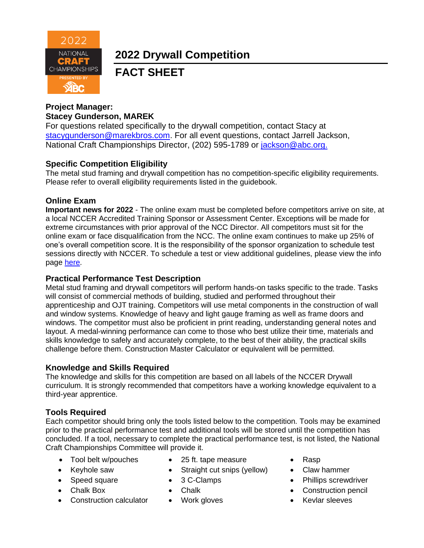

**2022 Drywall Competition**

# **FACT SHEET**

## **Project Manager: Stacey Gunderson, MAREK**

For questions related specifically to the drywall competition, contact Stacy at [stacygunderson@marekbros.com.](mailto:stacygunderson@marekbros.com) For all event questions, contact Jarrell Jackson, National Craft Championships Director, (202) 595-1789 or [jackson@abc.org.](mailto:jackson@abc.org.)

## **Specific Competition Eligibility**

The metal stud framing and drywall competition has no competition-specific eligibility requirements. Please refer to overall eligibility requirements listed in the guidebook.

#### **Online Exam**

**Important news for 2022** - The online exam must be completed before competitors arrive on site, at a local NCCER Accredited Training Sponsor or Assessment Center. Exceptions will be made for extreme circumstances with prior approval of the NCC Director. All competitors must sit for the online exam or face disqualification from the NCC. The online exam continues to make up 25% of one's overall competition score. It is the responsibility of the sponsor organization to schedule test sessions directly with NCCER. To schedule a test or view additional guidelines, please view the info page [here.](https://abc.org/Portals/1/NCC/National%20Craft%20Championship%20Testing%20Overview%20and%20Registration.pdf?ver=2022-01-31-154655-600)

#### **Practical Performance Test Description**

Metal stud framing and drywall competitors will perform hands-on tasks specific to the trade. Tasks will consist of commercial methods of building, studied and performed throughout their apprenticeship and OJT training. Competitors will use metal components in the construction of wall and window systems. Knowledge of heavy and light gauge framing as well as frame doors and windows. The competitor must also be proficient in print reading, understanding general notes and layout. A medal-winning performance can come to those who best utilize their time, materials and skills knowledge to safely and accurately complete, to the best of their ability, the practical skills challenge before them. Construction Master Calculator or equivalent will be permitted.

#### **Knowledge and Skills Required**

The knowledge and skills for this competition are based on all labels of the NCCER Drywall curriculum. It is strongly recommended that competitors have a working knowledge equivalent to a third-year apprentice.

## **Tools Required**

Each competitor should bring only the tools listed below to the competition. Tools may be examined prior to the practical performance test and additional tools will be stored until the competition has concluded. If a tool, necessary to complete the practical performance test, is not listed, the National Craft Championships Committee will provide it.

- Tool belt w/pouches 25 ft. tape measure Rasp
- 
- 
- 
- Construction calculator Work gloves Kevlar sleeves
- 
- Keyhole saw Straight cut snips (yellow) Claw hammer
	-
	-
	-
- 
- 
- Speed square 3 C-Clamps Phillips screwdriver
- Chalk Box Chalk Chalk Construction pencil
	-